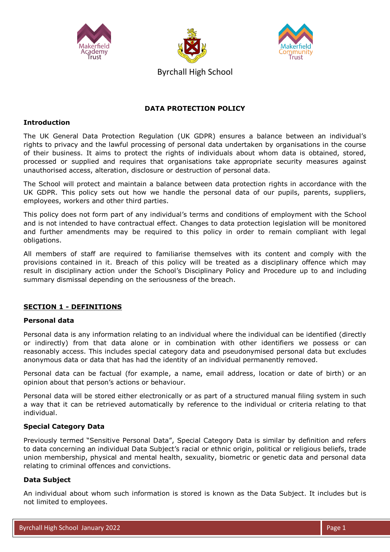





Byrchall High School

# **DATA PROTECTION POLICY**

### **Introduction**

The UK General Data Protection Regulation (UK GDPR) ensures a balance between an individual's rights to privacy and the lawful processing of personal data undertaken by organisations in the course of their business. It aims to protect the rights of individuals about whom data is obtained, stored, processed or supplied and requires that organisations take appropriate security measures against unauthorised access, alteration, disclosure or destruction of personal data.

The School will protect and maintain a balance between data protection rights in accordance with the UK GDPR. This policy sets out how we handle the personal data of our pupils, parents, suppliers, employees, workers and other third parties.

This policy does not form part of any individual's terms and conditions of employment with the School and is not intended to have contractual effect. Changes to data protection legislation will be monitored and further amendments may be required to this policy in order to remain compliant with legal obligations.

All members of staff are required to familiarise themselves with its content and comply with the provisions contained in it. Breach of this policy will be treated as a disciplinary offence which may result in disciplinary action under the School's Disciplinary Policy and Procedure up to and including summary dismissal depending on the seriousness of the breach.

# **SECTION 1 - DEFINITIONS**

# **Personal data**

Personal data is any information relating to an individual where the individual can be identified (directly or indirectly) from that data alone or in combination with other identifiers we possess or can reasonably access. This includes special category data and pseudonymised personal data but excludes anonymous data or data that has had the identity of an individual permanently removed.

Personal data can be factual (for example, a name, email address, location or date of birth) or an opinion about that person's actions or behaviour.

Personal data will be stored either electronically or as part of a structured manual filing system in such a way that it can be retrieved automatically by reference to the individual or criteria relating to that individual.

# **Special Category Data**

Previously termed "Sensitive Personal Data", Special Category Data is similar by definition and refers to data concerning an individual Data Subject's racial or ethnic origin, political or religious beliefs, trade union membership, physical and mental health, sexuality, biometric or genetic data and personal data relating to criminal offences and convictions.

# **Data Subject**

An individual about whom such information is stored is known as the Data Subject. It includes but is not limited to employees.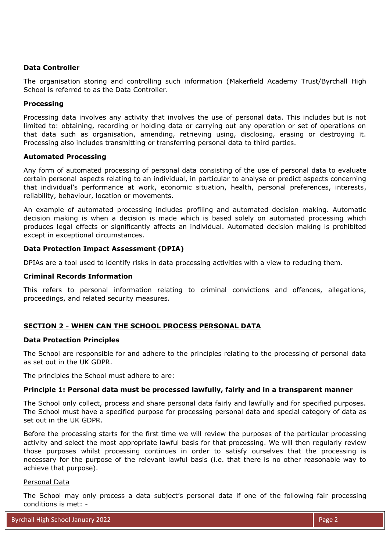### **Data Controller**

The organisation storing and controlling such information (Makerfield Academy Trust/Byrchall High School is referred to as the Data Controller.

### **Processing**

Processing data involves any activity that involves the use of personal data. This includes but is not limited to: obtaining, recording or holding data or carrying out any operation or set of operations on that data such as organisation, amending, retrieving using, disclosing, erasing or destroying it. Processing also includes transmitting or transferring personal data to third parties.

### **Automated Processing**

Any form of automated processing of personal data consisting of the use of personal data to evaluate certain personal aspects relating to an individual, in particular to analyse or predict aspects concerning that individual's performance at work, economic situation, health, personal preferences, interests, reliability, behaviour, location or movements.

An example of automated processing includes profiling and automated decision making. Automatic decision making is when a decision is made which is based solely on automated processing which produces legal effects or significantly affects an individual. Automated decision making is prohibited except in exceptional circumstances.

### **Data Protection Impact Assessment (DPIA)**

DPIAs are a tool used to identify risks in data processing activities with a view to reducing them.

### **Criminal Records Information**

This refers to personal information relating to criminal convictions and offences, allegations, proceedings, and related security measures.

# **SECTION 2 - WHEN CAN THE SCHOOL PROCESS PERSONAL DATA**

### **Data Protection Principles**

The School are responsible for and adhere to the principles relating to the processing of personal data as set out in the UK GDPR.

The principles the School must adhere to are:

### **Principle 1: Personal data must be processed lawfully, fairly and in a transparent manner**

The School only collect, process and share personal data fairly and lawfully and for specified purposes. The School must have a specified purpose for processing personal data and special category of data as set out in the UK GDPR.

Before the processing starts for the first time we will review the purposes of the particular processing activity and select the most appropriate lawful basis for that processing. We will then regularly review those purposes whilst processing continues in order to satisfy ourselves that the processing is necessary for the purpose of the relevant lawful basis (i.e. that there is no other reasonable way to achieve that purpose).

### Personal Data

The School may only process a data subject's personal data if one of the following fair processing conditions is met: -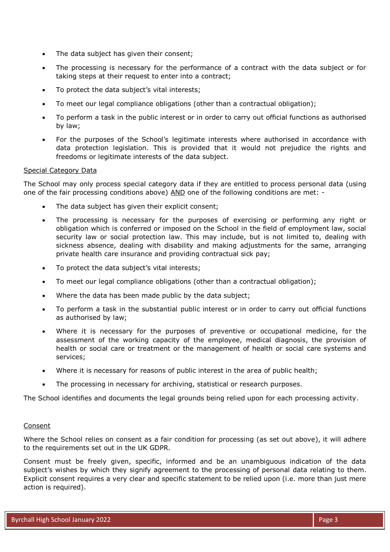- The data subject has given their consent;
- The processing is necessary for the performance of a contract with the data subject or for taking steps at their request to enter into a contract;
- To protect the data subject's vital interests;
- To meet our legal compliance obligations (other than a contractual obligation);
- To perform a task in the public interest or in order to carry out official functions as authorised by law;
- For the purposes of the School's legitimate interests where authorised in accordance with data protection legislation. This is provided that it would not prejudice the rights and freedoms or legitimate interests of the data subject.

### Special Category Data

The School may only process special category data if they are entitled to process personal data (using one of the fair processing conditions above) AND one of the following conditions are met: -

- The data subject has given their explicit consent;
- The processing is necessary for the purposes of exercising or performing any right or obligation which is conferred or imposed on the School in the field of employment law, social security law or social protection law. This may include, but is not limited to, dealing with sickness absence, dealing with disability and making adjustments for the same, arranging private health care insurance and providing contractual sick pay;
- To protect the data subject's vital interests;
- To meet our legal compliance obligations (other than a contractual obligation);
- Where the data has been made public by the data subject;
- To perform a task in the substantial public interest or in order to carry out official functions as authorised by law;
- Where it is necessary for the purposes of preventive or occupational medicine, for the assessment of the working capacity of the employee, medical diagnosis, the provision of health or social care or treatment or the management of health or social care systems and services;
- Where it is necessary for reasons of public interest in the area of public health;
- The processing in necessary for archiving, statistical or research purposes.

The School identifies and documents the legal grounds being relied upon for each processing activity.

#### **Consent**

Where the School relies on consent as a fair condition for processing (as set out above), it will adhere to the requirements set out in the UK GDPR.

Consent must be freely given, specific, informed and be an unambiguous indication of the data subject's wishes by which they signify agreement to the processing of personal data relating to them. Explicit consent requires a very clear and specific statement to be relied upon (i.e. more than just mere action is required).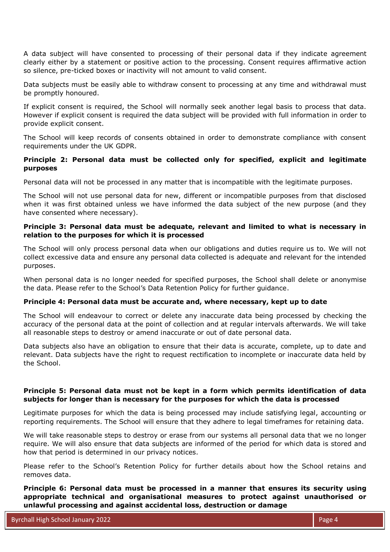A data subject will have consented to processing of their personal data if they indicate agreement clearly either by a statement or positive action to the processing. Consent requires affirmative action so silence, pre-ticked boxes or inactivity will not amount to valid consent.

Data subjects must be easily able to withdraw consent to processing at any time and withdrawal must be promptly honoured.

If explicit consent is required, the School will normally seek another legal basis to process that data. However if explicit consent is required the data subject will be provided with full information in order to provide explicit consent.

The School will keep records of consents obtained in order to demonstrate compliance with consent requirements under the UK GDPR.

# **Principle 2: Personal data must be collected only for specified, explicit and legitimate purposes**

Personal data will not be processed in any matter that is incompatible with the legitimate purposes.

The School will not use personal data for new, different or incompatible purposes from that disclosed when it was first obtained unless we have informed the data subject of the new purpose (and they have consented where necessary).

# **Principle 3: Personal data must be adequate, relevant and limited to what is necessary in relation to the purposes for which it is processed**

The School will only process personal data when our obligations and duties require us to. We will not collect excessive data and ensure any personal data collected is adequate and relevant for the intended purposes.

When personal data is no longer needed for specified purposes, the School shall delete or anonymise the data. Please refer to the School's Data Retention Policy for further guidance.

# **Principle 4: Personal data must be accurate and, where necessary, kept up to date**

The School will endeavour to correct or delete any inaccurate data being processed by checking the accuracy of the personal data at the point of collection and at regular intervals afterwards. We will take all reasonable steps to destroy or amend inaccurate or out of date personal data.

Data subjects also have an obligation to ensure that their data is accurate, complete, up to date and relevant. Data subjects have the right to request rectification to incomplete or inaccurate data held by the School.

### **Principle 5: Personal data must not be kept in a form which permits identification of data subjects for longer than is necessary for the purposes for which the data is processed**

Legitimate purposes for which the data is being processed may include satisfying legal, accounting or reporting requirements. The School will ensure that they adhere to legal timeframes for retaining data.

We will take reasonable steps to destroy or erase from our systems all personal data that we no longer require. We will also ensure that data subjects are informed of the period for which data is stored and how that period is determined in our privacy notices.

Please refer to the School's Retention Policy for further details about how the School retains and removes data.

**Principle 6: Personal data must be processed in a manner that ensures its security using appropriate technical and organisational measures to protect against unauthorised or unlawful processing and against accidental loss, destruction or damage**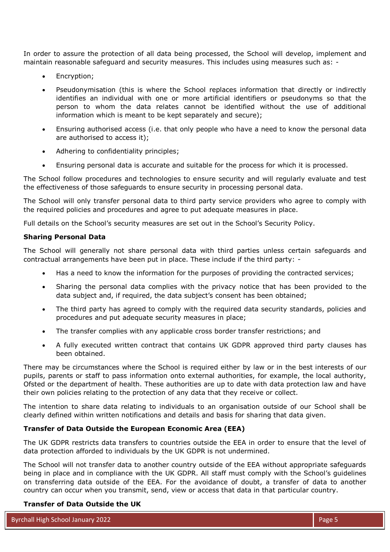In order to assure the protection of all data being processed, the School will develop, implement and maintain reasonable safeguard and security measures. This includes using measures such as: -

- Encryption;
- Pseudonymisation (this is where the School replaces information that directly or indirectly identifies an individual with one or more artificial identifiers or pseudonyms so that the person to whom the data relates cannot be identified without the use of additional information which is meant to be kept separately and secure);
- Ensuring authorised access (i.e. that only people who have a need to know the personal data are authorised to access it);
- Adhering to confidentiality principles;
- Ensuring personal data is accurate and suitable for the process for which it is processed.

The School follow procedures and technologies to ensure security and will regularly evaluate and test the effectiveness of those safeguards to ensure security in processing personal data.

The School will only transfer personal data to third party service providers who agree to comply with the required policies and procedures and agree to put adequate measures in place.

Full details on the School's security measures are set out in the School's Security Policy.

### **Sharing Personal Data**

The School will generally not share personal data with third parties unless certain safeguards and contractual arrangements have been put in place. These include if the third party: -

- Has a need to know the information for the purposes of providing the contracted services;
- Sharing the personal data complies with the privacy notice that has been provided to the data subject and, if required, the data subject's consent has been obtained;
- The third party has agreed to comply with the required data security standards, policies and procedures and put adequate security measures in place;
- The transfer complies with any applicable cross border transfer restrictions; and
- A fully executed written contract that contains UK GDPR approved third party clauses has been obtained.

There may be circumstances where the School is required either by law or in the best interests of our pupils, parents or staff to pass information onto external authorities, for example, the local authority, Ofsted or the department of health. These authorities are up to date with data protection law and have their own policies relating to the protection of any data that they receive or collect.

The intention to share data relating to individuals to an organisation outside of our School shall be clearly defined within written notifications and details and basis for sharing that data given.

### **Transfer of Data Outside the European Economic Area (EEA)**

The UK GDPR restricts data transfers to countries outside the EEA in order to ensure that the level of data protection afforded to individuals by the UK GDPR is not undermined.

The School will not transfer data to another country outside of the EEA without appropriate safeguards being in place and in compliance with the UK GDPR. All staff must comply with the School's guidelines on transferring data outside of the EEA. For the avoidance of doubt, a transfer of data to another country can occur when you transmit, send, view or access that data in that particular country.

#### **Transfer of Data Outside the UK**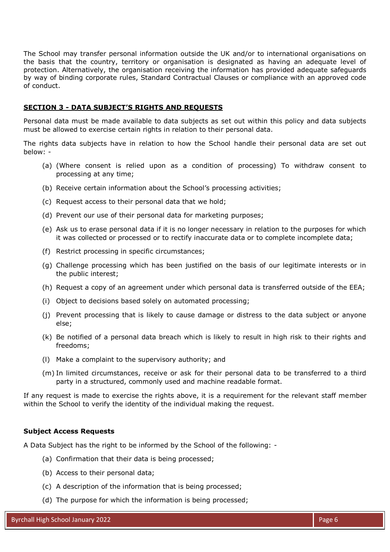The School may transfer personal information outside the UK and/or to international organisations on the basis that the country, territory or organisation is designated as having an adequate level of protection. Alternatively, the organisation receiving the information has provided adequate safeguards by way of binding corporate rules, Standard Contractual Clauses or compliance with an approved code of conduct.

### **SECTION 3 - DATA SUBJECT'S RIGHTS AND REQUESTS**

Personal data must be made available to data subjects as set out within this policy and data subjects must be allowed to exercise certain rights in relation to their personal data.

The rights data subjects have in relation to how the School handle their personal data are set out below: -

- (a) (Where consent is relied upon as a condition of processing) To withdraw consent to processing at any time;
- (b) Receive certain information about the School's processing activities;
- (c) Request access to their personal data that we hold;
- (d) Prevent our use of their personal data for marketing purposes;
- (e) Ask us to erase personal data if it is no longer necessary in relation to the purposes for which it was collected or processed or to rectify inaccurate data or to complete incomplete data;
- (f) Restrict processing in specific circumstances;
- (g) Challenge processing which has been justified on the basis of our legitimate interests or in the public interest;
- (h) Request a copy of an agreement under which personal data is transferred outside of the EEA;
- (i) Object to decisions based solely on automated processing;
- (j) Prevent processing that is likely to cause damage or distress to the data subject or anyone else;
- (k) Be notified of a personal data breach which is likely to result in high risk to their rights and freedoms;
- (l) Make a complaint to the supervisory authority; and
- (m) In limited circumstances, receive or ask for their personal data to be transferred to a third party in a structured, commonly used and machine readable format.

If any request is made to exercise the rights above, it is a requirement for the relevant staff member within the School to verify the identity of the individual making the request.

### **Subject Access Requests**

A Data Subject has the right to be informed by the School of the following: -

- (a) Confirmation that their data is being processed;
- (b) Access to their personal data;
- (c) A description of the information that is being processed;
- (d) The purpose for which the information is being processed;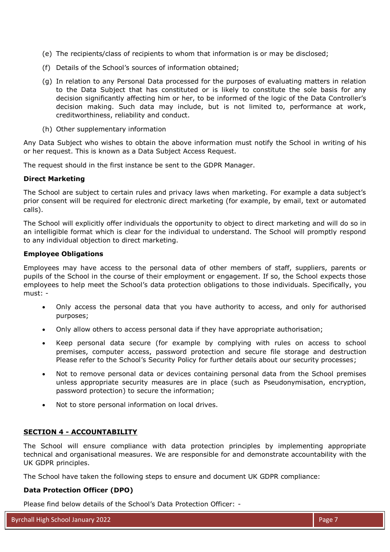- (e) The recipients/class of recipients to whom that information is or may be disclosed;
- (f) Details of the School's sources of information obtained;
- (g) In relation to any Personal Data processed for the purposes of evaluating matters in relation to the Data Subject that has constituted or is likely to constitute the sole basis for any decision significantly affecting him or her, to be informed of the logic of the Data Controller's decision making. Such data may include, but is not limited to, performance at work, creditworthiness, reliability and conduct.
- (h) Other supplementary information

Any Data Subject who wishes to obtain the above information must notify the School in writing of his or her request. This is known as a Data Subject Access Request.

The request should in the first instance be sent to the GDPR Manager.

### **Direct Marketing**

The School are subject to certain rules and privacy laws when marketing. For example a data subject's prior consent will be required for electronic direct marketing (for example, by email, text or automated calls).

The School will explicitly offer individuals the opportunity to object to direct marketing and will do so in an intelligible format which is clear for the individual to understand. The School will promptly respond to any individual objection to direct marketing.

### **Employee Obligations**

Employees may have access to the personal data of other members of staff, suppliers, parents or pupils of the School in the course of their employment or engagement. If so, the School expects those employees to help meet the School's data protection obligations to those individuals. Specifically, you must: -

- Only access the personal data that you have authority to access, and only for authorised purposes;
- Only allow others to access personal data if they have appropriate authorisation;
- Keep personal data secure (for example by complying with rules on access to school premises, computer access, password protection and secure file storage and destruction Please refer to the School's Security Policy for further details about our security processes;
- Not to remove personal data or devices containing personal data from the School premises unless appropriate security measures are in place (such as Pseudonymisation, encryption, password protection) to secure the information;
- Not to store personal information on local drives.

# **SECTION 4 - ACCOUNTABILITY**

The School will ensure compliance with data protection principles by implementing appropriate technical and organisational measures. We are responsible for and demonstrate accountability with the UK GDPR principles.

The School have taken the following steps to ensure and document UK GDPR compliance:

### **Data Protection Officer (DPO)**

Please find below details of the School's Data Protection Officer: -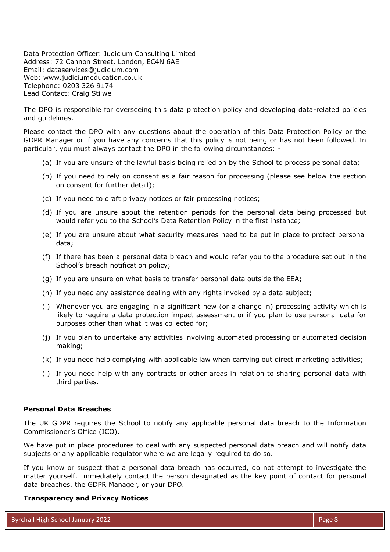Data Protection Officer: Judicium Consulting Limited Address: 72 Cannon Street, London, EC4N 6AE Email: [dataservices@judicium.com](mailto:dataservices@judicium.com) Web: www.judiciumeducation.co.uk Telephone: 0203 326 9174 Lead Contact: Craig Stilwell

The DPO is responsible for overseeing this data protection policy and developing data-related policies and guidelines.

Please contact the DPO with any questions about the operation of this Data Protection Policy or the GDPR Manager or if you have any concerns that this policy is not being or has not been followed. In particular, you must always contact the DPO in the following circumstances: -

- (a) If you are unsure of the lawful basis being relied on by the School to process personal data;
- (b) If you need to rely on consent as a fair reason for processing (please see below the section on consent for further detail);
- (c) If you need to draft privacy notices or fair processing notices;
- (d) If you are unsure about the retention periods for the personal data being processed but would refer you to the School's Data Retention Policy in the first instance;
- (e) If you are unsure about what security measures need to be put in place to protect personal data;
- (f) If there has been a personal data breach and would refer you to the procedure set out in the School's breach notification policy;
- (g) If you are unsure on what basis to transfer personal data outside the EEA;
- (h) If you need any assistance dealing with any rights invoked by a data subject;
- (i) Whenever you are engaging in a significant new (or a change in) processing activity which is likely to require a data protection impact assessment or if you plan to use personal data for purposes other than what it was collected for;
- (j) If you plan to undertake any activities involving automated processing or automated decision making;
- (k) If you need help complying with applicable law when carrying out direct marketing activities;
- (l) If you need help with any contracts or other areas in relation to sharing personal data with third parties.

#### **Personal Data Breaches**

The UK GDPR requires the School to notify any applicable personal data breach to the Information Commissioner's Office (ICO).

We have put in place procedures to deal with any suspected personal data breach and will notify data subjects or any applicable regulator where we are legally required to do so.

If you know or suspect that a personal data breach has occurred, do not attempt to investigate the matter yourself. Immediately contact the person designated as the key point of contact for personal data breaches, the GDPR Manager, or your DPO.

#### **Transparency and Privacy Notices**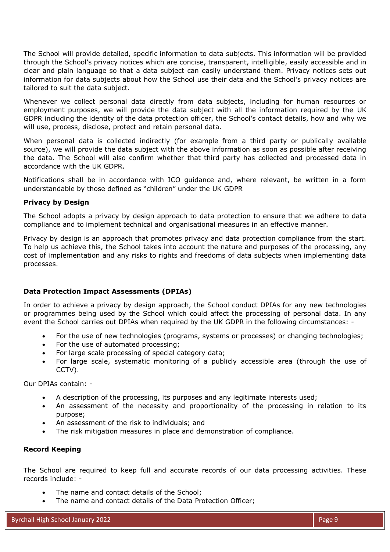The School will provide detailed, specific information to data subjects. This information will be provided through the School's privacy notices which are concise, transparent, intelligible, easily accessible and in clear and plain language so that a data subject can easily understand them. Privacy notices sets out information for data subjects about how the School use their data and the School's privacy notices are tailored to suit the data subject.

Whenever we collect personal data directly from data subjects, including for human resources or employment purposes, we will provide the data subject with all the information required by the UK GDPR including the identity of the data protection officer, the School's contact details, how and why we will use, process, disclose, protect and retain personal data.

When personal data is collected indirectly (for example from a third party or publically available source), we will provide the data subject with the above information as soon as possible after receiving the data. The School will also confirm whether that third party has collected and processed data in accordance with the UK GDPR.

Notifications shall be in accordance with ICO guidance and, where relevant, be written in a form understandable by those defined as "children" under the UK GDPR

# **Privacy by Design**

The School adopts a privacy by design approach to data protection to ensure that we adhere to data compliance and to implement technical and organisational measures in an effective manner.

Privacy by design is an approach that promotes privacy and data protection compliance from the start. To help us achieve this, the School takes into account the nature and purposes of the processing, any cost of implementation and any risks to rights and freedoms of data subjects when implementing data processes.

# **Data Protection Impact Assessments (DPIAs)**

In order to achieve a privacy by design approach, the School conduct DPIAs for any new technologies or programmes being used by the School which could affect the processing of personal data. In any event the School carries out DPIAs when required by the UK GDPR in the following circumstances: -

- For the use of new technologies (programs, systems or processes) or changing technologies;
- For the use of automated processing;
- For large scale processing of special category data;
- For large scale, systematic monitoring of a publicly accessible area (through the use of CCTV).

Our DPIAs contain: -

- A description of the processing, its purposes and any legitimate interests used;
- An assessment of the necessity and proportionality of the processing in relation to its purpose;
- An assessment of the risk to individuals; and
- The risk mitigation measures in place and demonstration of compliance.

### **Record Keeping**

The School are required to keep full and accurate records of our data processing activities. These records include: -

- The name and contact details of the School;
- The name and contact details of the Data Protection Officer;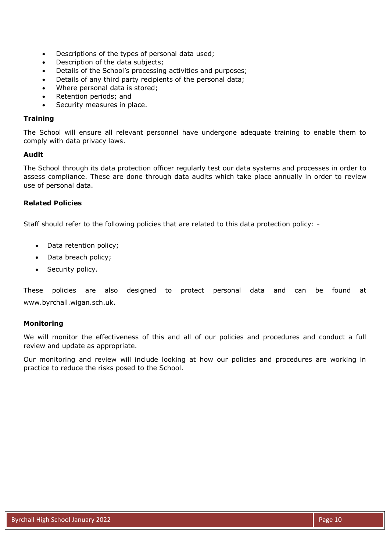- Descriptions of the types of personal data used;
- Description of the data subjects;
- Details of the School's processing activities and purposes;
- Details of any third party recipients of the personal data;
- Where personal data is stored;
- Retention periods; and
- Security measures in place.

### **Training**

The School will ensure all relevant personnel have undergone adequate training to enable them to comply with data privacy laws.

### **Audit**

The School through its data protection officer regularly test our data systems and processes in order to assess compliance. These are done through data audits which take place annually in order to review use of personal data.

# **Related Policies**

Staff should refer to the following policies that are related to this data protection policy: -

- Data retention policy;
- Data breach policy;
- Security policy.

These policies are also designed to protect personal data and can be found at www.byrchall.wigan.sch.uk.

# **Monitoring**

We will monitor the effectiveness of this and all of our policies and procedures and conduct a full review and update as appropriate.

Our monitoring and review will include looking at how our policies and procedures are working in practice to reduce the risks posed to the School.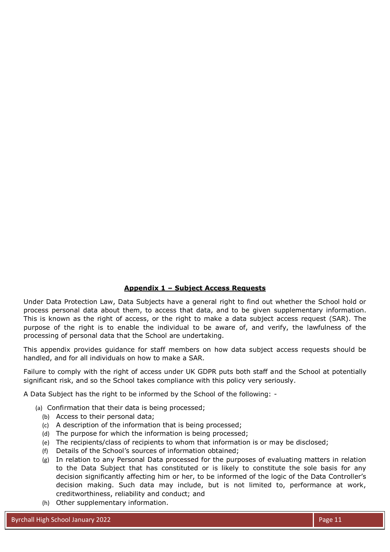# **Appendix 1 – Subject Access Requests**

Under Data Protection Law, Data Subjects have a general right to find out whether the School hold or process personal data about them, to access that data, and to be given supplementary information. This is known as the right of access, or the right to make a data subject access request (SAR). The purpose of the right is to enable the individual to be aware of, and verify, the lawfulness of the processing of personal data that the School are undertaking.

This appendix provides guidance for staff members on how data subject access requests should be handled, and for all individuals on how to make a SAR.

Failure to comply with the right of access under UK GDPR puts both staff and the School at potentially significant risk, and so the School takes compliance with this policy very seriously.

A Data Subject has the right to be informed by the School of the following: -

- (a) Confirmation that their data is being processed;
	- (b) Access to their personal data;
	- (c) A description of the information that is being processed;
	- (d) The purpose for which the information is being processed;
	- (e) The recipients/class of recipients to whom that information is or may be disclosed;
	- (f) Details of the School's sources of information obtained;
	- (g) In relation to any Personal Data processed for the purposes of evaluating matters in relation to the Data Subject that has constituted or is likely to constitute the sole basis for any decision significantly affecting him or her, to be informed of the logic of the Data Controller's decision making. Such data may include, but is not limited to, performance at work, creditworthiness, reliability and conduct; and
	- (h) Other supplementary information.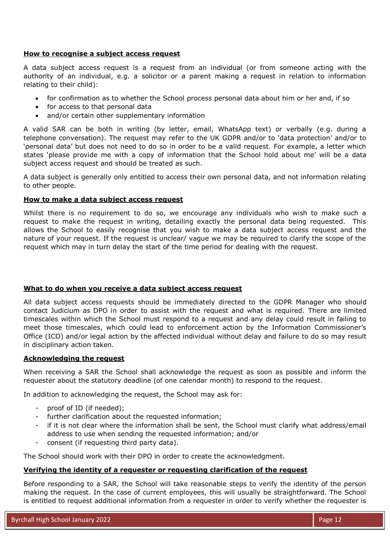### **How to recognise a subject access request**

A data subject access request is a request from an individual (or from someone acting with the authority of an individual, e.g. a solicitor or a parent making a request in relation to information relating to their child):

- for confirmation as to whether the School process personal data about him or her and, if so
- for access to that personal data
- and/or certain other supplementary information

A valid SAR can be both in writing (by letter, email, WhatsApp text) or verbally (e.g. during a telephone conversation). The request may refer to the UK GDPR and/or to 'data protection' and/or to 'personal data' but does not need to do so in order to be a valid request. For example, a letter which states 'please provide me with a copy of information that the School hold about me' will be a data subject access request and should be treated as such.

A data subject is generally only entitled to access their own personal data, and not information relating to other people.

### **How to make a data subject access request**

Whilst there is no requirement to do so, we encourage any individuals who wish to make such a request to make the request in writing, detailing exactly the personal data being requested. This allows the School to easily recognise that you wish to make a data subject access request and the nature of your request. If the request is unclear/ vague we may be required to clarify the scope of the request which may in turn delay the start of the time period for dealing with the request.

### **What to do when you receive a data subject access request**

All data subject access requests should be immediately directed to the GDPR Manager who should contact Judicium as DPO in order to assist with the request and what is required. There are limited timescales within which the School must respond to a request and any delay could result in failing to meet those timescales, which could lead to enforcement action by the Information Commissioner's Office (ICO) and/or legal action by the affected individual without delay and failure to do so may result in disciplinary action taken.

### **Acknowledging the request**

When receiving a SAR the School shall acknowledge the request as soon as possible and inform the requester about the statutory deadline (of one calendar month) to respond to the request.

In addition to acknowledging the request, the School may ask for:

- proof of ID (if needed);
- further clarification about the requested information;
- if it is not clear where the information shall be sent, the School must clarify what address/email address to use when sending the requested information; and/or
- consent (if requesting third party data).

The School should work with their DPO in order to create the acknowledgment.

### **Verifying the identity of a requester or requesting clarification of the request**

Before responding to a SAR, the School will take reasonable steps to verify the identity of the person making the request. In the case of current employees, this will usually be straightforward. The School is entitled to request additional information from a requester in order to verify whether the requester is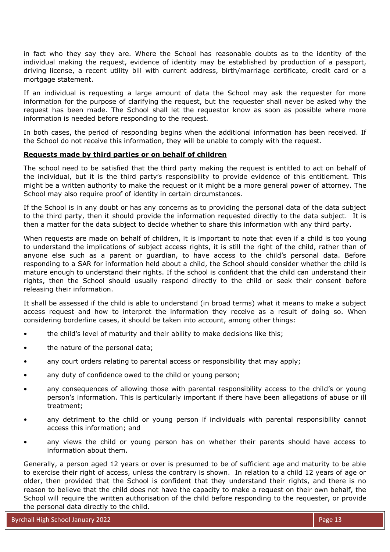in fact who they say they are. Where the School has reasonable doubts as to the identity of the individual making the request, evidence of identity may be established by production of a passport, driving license, a recent utility bill with current address, birth/marriage certificate, credit card or a mortgage statement.

If an individual is requesting a large amount of data the School may ask the requester for more information for the purpose of clarifying the request, but the requester shall never be asked why the request has been made. The School shall let the requestor know as soon as possible where more information is needed before responding to the request.

In both cases, the period of responding begins when the additional information has been received. If the School do not receive this information, they will be unable to comply with the request.

### **Requests made by third parties or on behalf of children**

The school need to be satisfied that the third party making the request is entitled to act on behalf of the individual, but it is the third party's responsibility to provide evidence of this entitlement. This might be a written authority to make the request or it might be a more general power of attorney. The School may also require proof of identity in certain circumstances.

If the School is in any doubt or has any concerns as to providing the personal data of the data subject to the third party, then it should provide the information requested directly to the data subject. It is then a matter for the data subject to decide whether to share this information with any third party.

When requests are made on behalf of children, it is important to note that even if a child is too young to understand the implications of subject access rights, it is still the right of the child, rather than of anyone else such as a parent or guardian, to have access to the child's personal data. Before responding to a SAR for information held about a child, the School should consider whether the child is mature enough to understand their rights. If the school is confident that the child can understand their rights, then the School should usually respond directly to the child or seek their consent before releasing their information.

It shall be assessed if the child is able to understand (in broad terms) what it means to make a subject access request and how to interpret the information they receive as a result of doing so. When considering borderline cases, it should be taken into account, among other things:

- the child's level of maturity and their ability to make decisions like this;
- the nature of the personal data;
- any court orders relating to parental access or responsibility that may apply;
- any duty of confidence owed to the child or young person;
- any consequences of allowing those with parental responsibility access to the child's or young person's information. This is particularly important if there have been allegations of abuse or ill treatment;
- any detriment to the child or young person if individuals with parental responsibility cannot access this information; and
- any views the child or young person has on whether their parents should have access to information about them.

Generally, a person aged 12 years or over is presumed to be of sufficient age and maturity to be able to exercise their right of access, unless the contrary is shown. In relation to a child 12 years of age or older, then provided that the School is confident that they understand their rights, and there is no reason to believe that the child does not have the capacity to make a request on their own behalf, the School will require the written authorisation of the child before responding to the requester, or provide the personal data directly to the child.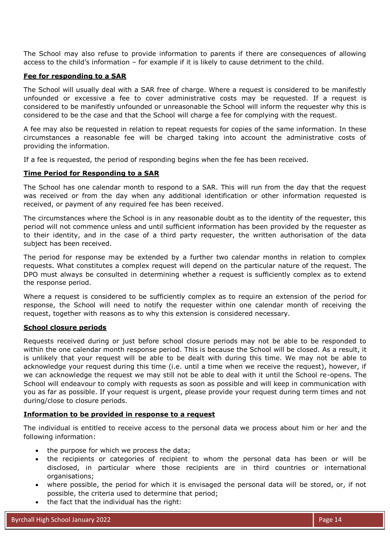The School may also refuse to provide information to parents if there are consequences of allowing access to the child's information – for example if it is likely to cause detriment to the child.

### **Fee for responding to a SAR**

The School will usually deal with a SAR free of charge. Where a request is considered to be manifestly unfounded or excessive a fee to cover administrative costs may be requested. If a request is considered to be manifestly unfounded or unreasonable the School will inform the requester why this is considered to be the case and that the School will charge a fee for complying with the request.

A fee may also be requested in relation to repeat requests for copies of the same information. In these circumstances a reasonable fee will be charged taking into account the administrative costs of providing the information.

If a fee is requested, the period of responding begins when the fee has been received.

### **Time Period for Responding to a SAR**

The School has one calendar month to respond to a SAR. This will run from the day that the request was received or from the day when any additional identification or other information requested is received, or payment of any required fee has been received.

The circumstances where the School is in any reasonable doubt as to the identity of the requester, this period will not commence unless and until sufficient information has been provided by the requester as to their identity, and in the case of a third party requester, the written authorisation of the data subject has been received.

The period for response may be extended by a further two calendar months in relation to complex requests. What constitutes a complex request will depend on the particular nature of the request. The DPO must always be consulted in determining whether a request is sufficiently complex as to extend the response period.

Where a request is considered to be sufficiently complex as to require an extension of the period for response, the School will need to notify the requester within one calendar month of receiving the request, together with reasons as to why this extension is considered necessary.

# **School closure periods**

Requests received during or just before school closure periods may not be able to be responded to within the one calendar month response period. This is because the School will be closed. As a result, it is unlikely that your request will be able to be dealt with during this time. We may not be able to acknowledge your request during this time (i.e. until a time when we receive the request), however, if we can acknowledge the request we may still not be able to deal with it until the School re-opens. The School will endeavour to comply with requests as soon as possible and will keep in communication with you as far as possible. If your request is urgent, please provide your request during term times and not during/close to closure periods.

### **Information to be provided in response to a request**

The individual is entitled to receive access to the personal data we process about him or her and the following information:

- the purpose for which we process the data;
- the recipients or categories of recipient to whom the personal data has been or will be disclosed, in particular where those recipients are in third countries or international organisations;
- where possible, the period for which it is envisaged the personal data will be stored, or, if not possible, the criteria used to determine that period;
- the fact that the individual has the right: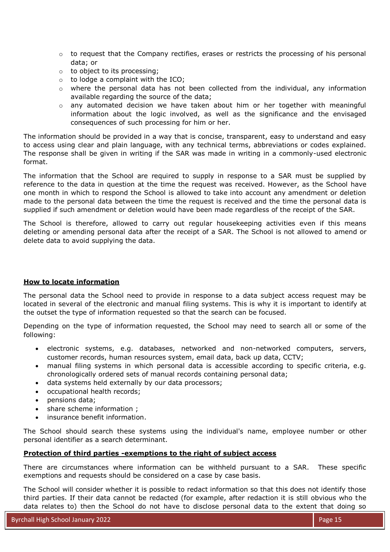- $\circ$  to request that the Company rectifies, erases or restricts the processing of his personal data; or
- o to object to its processing;
- $\circ$  to lodge a complaint with the ICO;
- $\circ$  where the personal data has not been collected from the individual, any information available regarding the source of the data;
- $\circ$  any automated decision we have taken about him or her together with meaningful information about the logic involved, as well as the significance and the envisaged consequences of such processing for him or her.

The information should be provided in a way that is concise, transparent, easy to understand and easy to access using clear and plain language, with any technical terms, abbreviations or codes explained. The response shall be given in writing if the SAR was made in writing in a commonly-used electronic format.

The information that the School are required to supply in response to a SAR must be supplied by reference to the data in question at the time the request was received. However, as the School have one month in which to respond the School is allowed to take into account any amendment or deletion made to the personal data between the time the request is received and the time the personal data is supplied if such amendment or deletion would have been made regardless of the receipt of the SAR.

The School is therefore, allowed to carry out regular housekeeping activities even if this means deleting or amending personal data after the receipt of a SAR. The School is not allowed to amend or delete data to avoid supplying the data.

### **How to locate information**

The personal data the School need to provide in response to a data subject access request may be located in several of the electronic and manual filing systems. This is why it is important to identify at the outset the type of information requested so that the search can be focused.

Depending on the type of information requested, the School may need to search all or some of the following:

- electronic systems, e.g. databases, networked and non-networked computers, servers, customer records, human resources system, email data, back up data, CCTV;
- manual filing systems in which personal data is accessible according to specific criteria, e.g. chronologically ordered sets of manual records containing personal data;
- data systems held externally by our data processors;
- occupational health records;
- pensions data;
- share scheme information ;
- insurance benefit information.

The School should search these systems using the individual's name, employee number or other personal identifier as a search determinant.

# **Protection of third parties -exemptions to the right of subject access**

There are circumstances where information can be withheld pursuant to a SAR. These specific exemptions and requests should be considered on a case by case basis.

The School will consider whether it is possible to redact information so that this does not identify those third parties. If their data cannot be redacted (for example, after redaction it is still obvious who the data relates to) then the School do not have to disclose personal data to the extent that doing so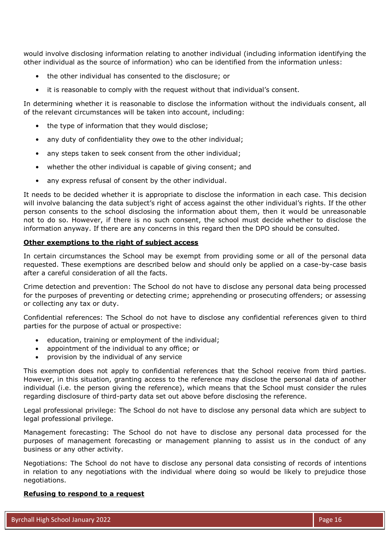would involve disclosing information relating to another individual (including information identifying the other individual as the source of information) who can be identified from the information unless:

- the other individual has consented to the disclosure; or
- it is reasonable to comply with the request without that individual's consent.

In determining whether it is reasonable to disclose the information without the individuals consent, all of the relevant circumstances will be taken into account, including:

- the type of information that they would disclose;
- any duty of confidentiality they owe to the other individual;
- any steps taken to seek consent from the other individual;
- whether the other individual is capable of giving consent; and
- any express refusal of consent by the other individual.

It needs to be decided whether it is appropriate to disclose the information in each case. This decision will involve balancing the data subject's right of access against the other individual's rights. If the other person consents to the school disclosing the information about them, then it would be unreasonable not to do so. However, if there is no such consent, the school must decide whether to disclose the information anyway. If there are any concerns in this regard then the DPO should be consulted.

### **Other exemptions to the right of subject access**

In certain circumstances the School may be exempt from providing some or all of the personal data requested. These exemptions are described below and should only be applied on a case-by-case basis after a careful consideration of all the facts.

Crime detection and prevention: The School do not have to disclose any personal data being processed for the purposes of preventing or detecting crime; apprehending or prosecuting offenders; or assessing or collecting any tax or duty.

Confidential references: The School do not have to disclose any confidential references given to third parties for the purpose of actual or prospective:

- education, training or employment of the individual;
- appointment of the individual to any office; or
- provision by the individual of any service

This exemption does not apply to confidential references that the School receive from third parties. However, in this situation, granting access to the reference may disclose the personal data of another individual (i.e. the person giving the reference), which means that the School must consider the rules regarding disclosure of third-party data set out above before disclosing the reference.

Legal professional privilege: The School do not have to disclose any personal data which are subject to legal professional privilege.

Management forecasting: The School do not have to disclose any personal data processed for the purposes of management forecasting or management planning to assist us in the conduct of any business or any other activity.

Negotiations: The School do not have to disclose any personal data consisting of records of intentions in relation to any negotiations with the individual where doing so would be likely to prejudice those negotiations.

### **Refusing to respond to a request**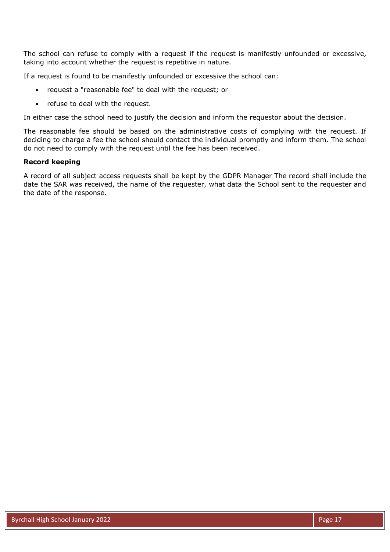The school can refuse to comply with a request if the request is manifestly unfounded or excessive*,*  taking into account whether the request is repetitive in nature.

If a request is found to be manifestly unfounded or excessive the school can:

- request a "reasonable fee" to deal with the request; or
- refuse to deal with the request.

In either case the school need to justify the decision and inform the requestor about the decision.

The reasonable fee should be based on the administrative costs of complying with the request. If deciding to charge a fee the school should contact the individual promptly and inform them. The school do not need to comply with the request until the fee has been received.

#### **Record keeping**

A record of all subject access requests shall be kept by the GDPR Manager The record shall include the date the SAR was received, the name of the requester, what data the School sent to the requester and the date of the response.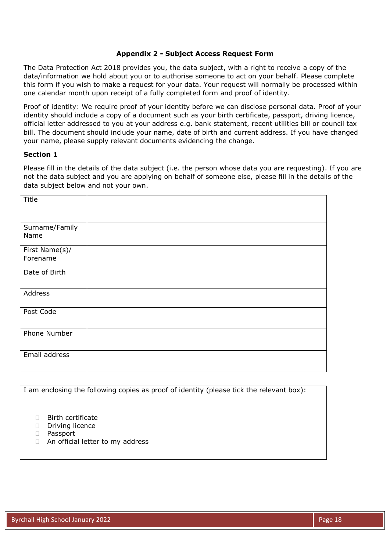### **Appendix 2 - Subject Access Request Form**

The Data Protection Act 2018 provides you, the data subject, with a right to receive a copy of the data/information we hold about you or to authorise someone to act on your behalf. Please complete this form if you wish to make a request for your data. Your request will normally be processed within one calendar month upon receipt of a fully completed form and proof of identity.

Proof of identity: We require proof of your identity before we can disclose personal data. Proof of your identity should include a copy of a document such as your birth certificate, passport, driving licence, official letter addressed to you at your address e.g. bank statement, recent utilities bill or council tax bill. The document should include your name, date of birth and current address. If you have changed your name, please supply relevant documents evidencing the change.

### **Section 1**

Please fill in the details of the data subject (i.e. the person whose data you are requesting). If you are not the data subject and you are applying on behalf of someone else, please fill in the details of the data subject below and not your own.

| Title                      |  |
|----------------------------|--|
| Surname/Family<br>Name     |  |
| First Name(s)/<br>Forename |  |
| Date of Birth              |  |
| Address                    |  |
| Post Code                  |  |
| Phone Number               |  |
| Email address              |  |

I am enclosing the following copies as proof of identity (please tick the relevant box):

- □ Birth certificate
- Driving licence
- Passport
- □ An official letter to my address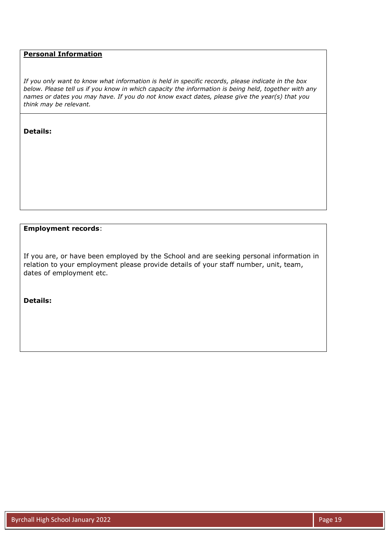# **Personal Information**

*If you only want to know what information is held in specific records, please indicate in the box below. Please tell us if you know in which capacity the information is being held, together with any names or dates you may have. If you do not know exact dates, please give the year(s) that you think may be relevant.* 

#### **Details:**

### **Employment records**:

If you are, or have been employed by the School and are seeking personal information in relation to your employment please provide details of your staff number, unit, team, dates of employment etc.

**Details:**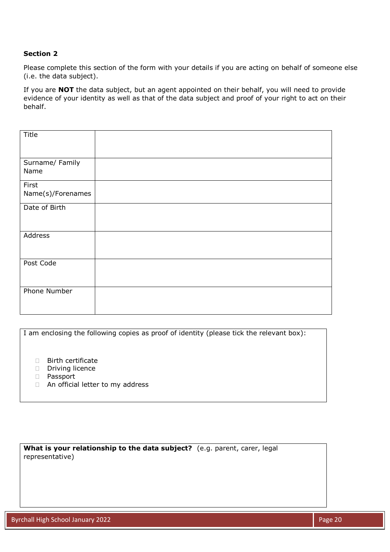# **Section 2**

Please complete this section of the form with your details if you are acting on behalf of someone else (i.e. the data subject).

If you are **NOT** the data subject, but an agent appointed on their behalf, you will need to provide evidence of your identity as well as that of the data subject and proof of your right to act on their behalf.

| Title               |  |
|---------------------|--|
|                     |  |
|                     |  |
| Surname/ Family     |  |
| Name                |  |
| First               |  |
| Name(s)/Forenames   |  |
| Date of Birth       |  |
|                     |  |
|                     |  |
| Address             |  |
|                     |  |
|                     |  |
| Post Code           |  |
|                     |  |
|                     |  |
| <b>Phone Number</b> |  |
|                     |  |
|                     |  |

I am enclosing the following copies as proof of identity (please tick the relevant box): **Birth certificate** Driving licence Passport □ An official letter to my address

**What is your relationship to the data subject?** (e.g. parent, carer, legal representative)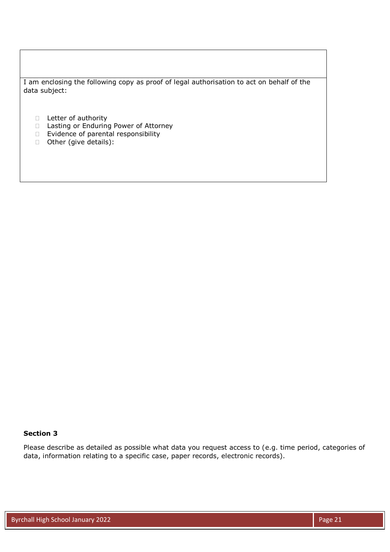I am enclosing the following copy as proof of legal authorisation to act on behalf of the data subject:

- D Letter of authority
- $\Box$  Lasting or Enduring Power of Attorney
- $\Box$  Evidence of parental responsibility
- Other (give details):

### **Section 3**

Please describe as detailed as possible what data you request access to (e.g. time period, categories of data, information relating to a specific case, paper records, electronic records).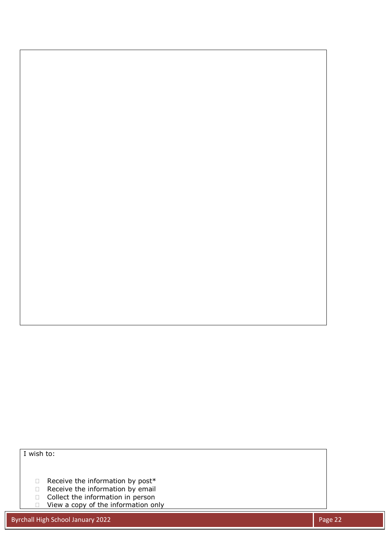I wish to:

- $\Box$  Receive the information by post\*
- □ Receive the information by email
- □ Collect the information in person
- □ View a copy of the information only